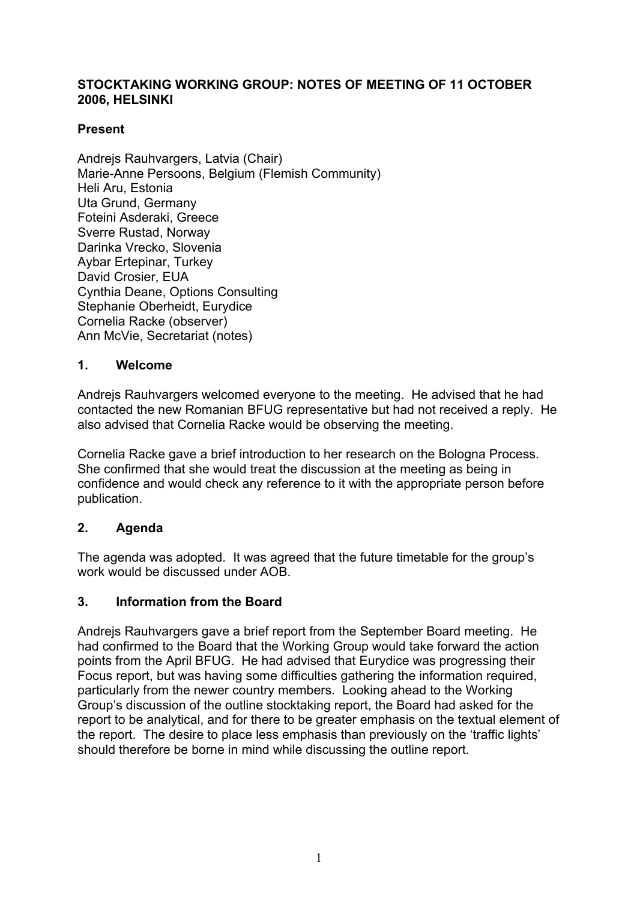### **STOCKTAKING WORKING GROUP: NOTES OF MEETING OF 11 OCTOBER 2006, HELSINKI**

## **Present**

Andreis Rauhvargers, Latvia (Chair) Marie-Anne Persoons, Belgium (Flemish Community) Heli Aru, Estonia Uta Grund, Germany Foteini Asderaki, Greece Sverre Rustad, Norway Darinka Vrecko, Slovenia Aybar Ertepinar, Turkey David Crosier, EUA Cynthia Deane, Options Consulting Stephanie Oberheidt, Eurydice Cornelia Racke (observer) Ann McVie, Secretariat (notes)

### **1. Welcome**

Andrejs Rauhvargers welcomed everyone to the meeting. He advised that he had contacted the new Romanian BFUG representative but had not received a reply. He also advised that Cornelia Racke would be observing the meeting.

Cornelia Racke gave a brief introduction to her research on the Bologna Process. She confirmed that she would treat the discussion at the meeting as being in confidence and would check any reference to it with the appropriate person before publication.

### **2. Agenda**

The agenda was adopted. It was agreed that the future timetable for the group's work would be discussed under AOB.

### **3. Information from the Board**

Andrejs Rauhvargers gave a brief report from the September Board meeting. He had confirmed to the Board that the Working Group would take forward the action points from the April BFUG. He had advised that Eurydice was progressing their Focus report, but was having some difficulties gathering the information required, particularly from the newer country members. Looking ahead to the Working Group's discussion of the outline stocktaking report, the Board had asked for the report to be analytical, and for there to be greater emphasis on the textual element of the report. The desire to place less emphasis than previously on the 'traffic lights' should therefore be borne in mind while discussing the outline report.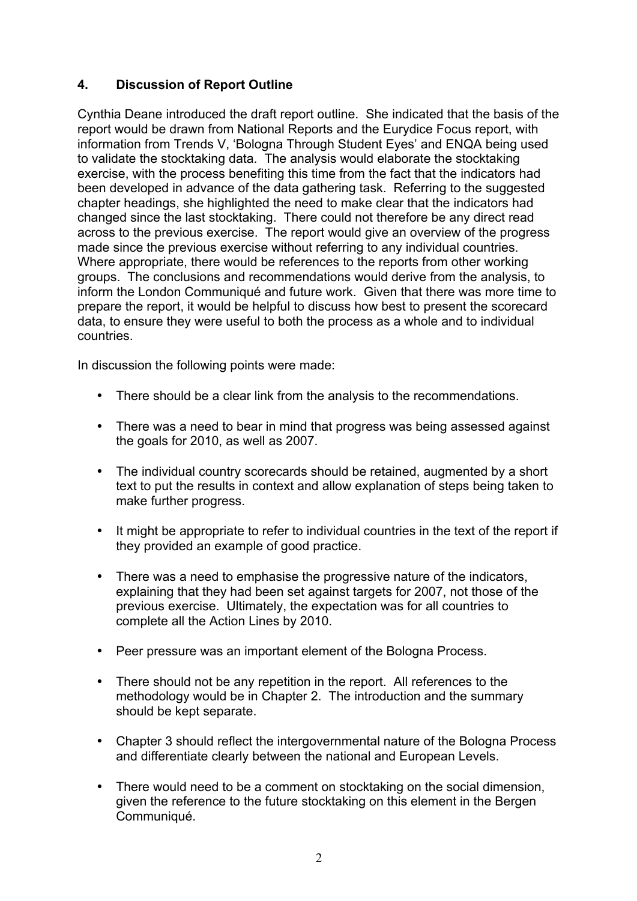## **4. Discussion of Report Outline**

Cynthia Deane introduced the draft report outline. She indicated that the basis of the report would be drawn from National Reports and the Eurydice Focus report, with information from Trends V, 'Bologna Through Student Eyes' and ENQA being used to validate the stocktaking data. The analysis would elaborate the stocktaking exercise, with the process benefiting this time from the fact that the indicators had been developed in advance of the data gathering task. Referring to the suggested chapter headings, she highlighted the need to make clear that the indicators had changed since the last stocktaking. There could not therefore be any direct read across to the previous exercise. The report would give an overview of the progress made since the previous exercise without referring to any individual countries. Where appropriate, there would be references to the reports from other working groups. The conclusions and recommendations would derive from the analysis, to inform the London Communiqué and future work. Given that there was more time to prepare the report, it would be helpful to discuss how best to present the scorecard data, to ensure they were useful to both the process as a whole and to individual countries.

In discussion the following points were made:

- There should be a clear link from the analysis to the recommendations.
- There was a need to bear in mind that progress was being assessed against the goals for 2010, as well as 2007.
- The individual country scorecards should be retained, augmented by a short text to put the results in context and allow explanation of steps being taken to make further progress.
- It might be appropriate to refer to individual countries in the text of the report if they provided an example of good practice.
- There was a need to emphasise the progressive nature of the indicators, explaining that they had been set against targets for 2007, not those of the previous exercise. Ultimately, the expectation was for all countries to complete all the Action Lines by 2010.
- Peer pressure was an important element of the Bologna Process.
- There should not be any repetition in the report. All references to the methodology would be in Chapter 2. The introduction and the summary should be kept separate.
- Chapter 3 should reflect the intergovernmental nature of the Bologna Process and differentiate clearly between the national and European Levels.
- There would need to be a comment on stocktaking on the social dimension, given the reference to the future stocktaking on this element in the Bergen Communiqué.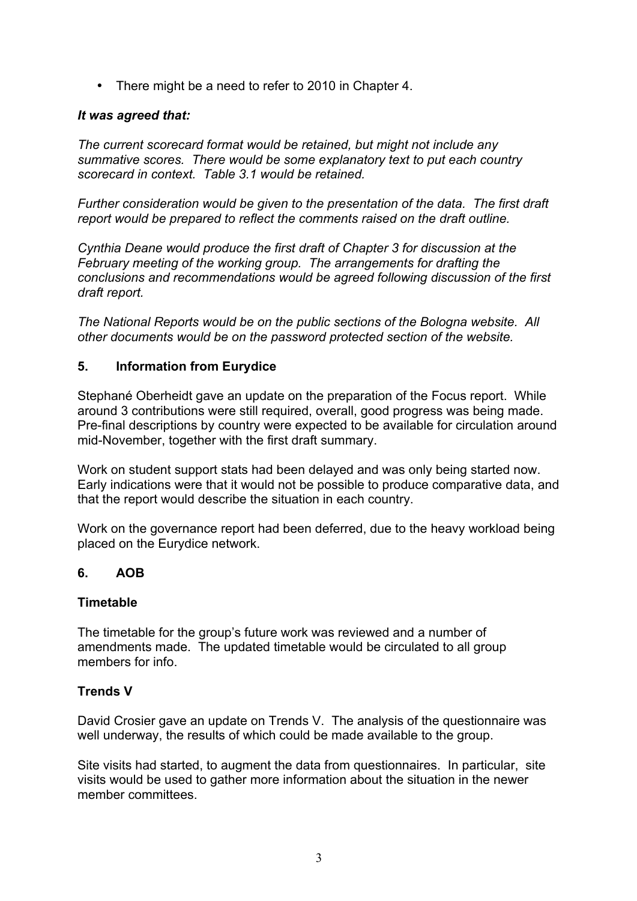• There might be a need to refer to 2010 in Chapter 4.

### *It was agreed that:*

*The current scorecard format would be retained, but might not include any summative scores. There would be some explanatory text to put each country scorecard in context. Table 3.1 would be retained.* 

*Further consideration would be given to the presentation of the data. The first draft report would be prepared to reflect the comments raised on the draft outline.*

*Cynthia Deane would produce the first draft of Chapter 3 for discussion at the February meeting of the working group. The arrangements for drafting the conclusions and recommendations would be agreed following discussion of the first draft report.*

*The National Reports would be on the public sections of the Bologna website. All other documents would be on the password protected section of the website.*

### **5. Information from Eurydice**

Stephané Oberheidt gave an update on the preparation of the Focus report. While around 3 contributions were still required, overall, good progress was being made. Pre-final descriptions by country were expected to be available for circulation around mid-November, together with the first draft summary.

Work on student support stats had been delayed and was only being started now. Early indications were that it would not be possible to produce comparative data, and that the report would describe the situation in each country.

Work on the governance report had been deferred, due to the heavy workload being placed on the Eurydice network.

### **6. AOB**

### **Timetable**

The timetable for the group's future work was reviewed and a number of amendments made. The updated timetable would be circulated to all group members for info.

### **Trends V**

David Crosier gave an update on Trends V. The analysis of the questionnaire was well underway, the results of which could be made available to the group.

Site visits had started, to augment the data from questionnaires. In particular, site visits would be used to gather more information about the situation in the newer member committees.